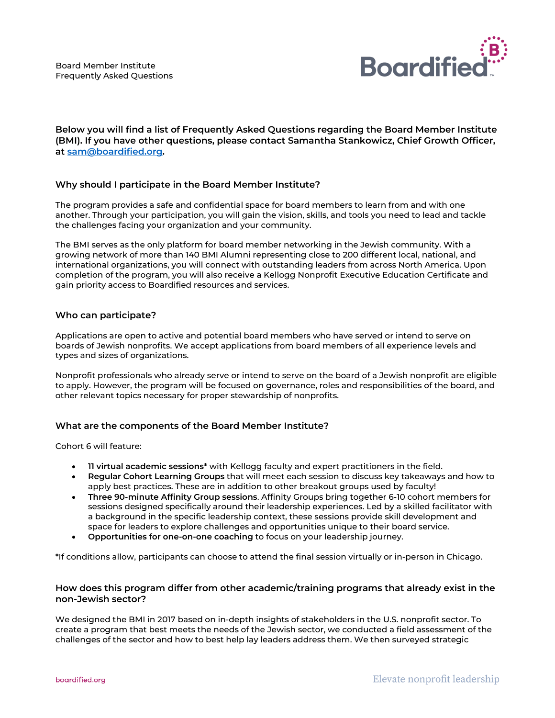

**Below you will find a list of Frequently Asked Questions regarding the Board Member Institute (BMI). If you have other questions, please contact Samantha Stankowicz, Chief Growth Officer, at [sam@boardified.org.](mailto:sam@boardified.org)**

# **Why should I participate in the Board Member Institute?**

The program provides a safe and confidential space for board members to learn from and with one another. Through your participation, you will gain the vision, skills, and tools you need to lead and tackle the challenges facing your organization and your community.

The BMI serves as the only platform for board member networking in the Jewish community. With a growing network of more than 140 BMI Alumni representing close to 200 different local, national, and international organizations, you will connect with outstanding leaders from across North America. Upon completion of the program, you will also receive a Kellogg Nonprofit Executive Education Certificate and gain priority access to Boardified resources and services.

# **Who can participate?**

Applications are open to active and potential board members who have served or intend to serve on boards of Jewish nonprofits. We accept applications from board members of all experience levels and types and sizes of organizations.

Nonprofit professionals who already serve or intend to serve on the board of a Jewish nonprofit are eligible to apply. However, the program will be focused on governance, roles and responsibilities of the board, and other relevant topics necessary for proper stewardship of nonprofits.

# **What are the components of the Board Member Institute?**

Cohort 6 will feature:

- **11 virtual academic sessions\*** with Kellogg faculty and expert practitioners in the field.
- **Regular Cohort Learning Groups** that will meet each session to discuss key takeaways and how to apply best practices. These are in addition to other breakout groups used by faculty!
- **Three 90-minute Affinity Group sessions**. Affinity Groups bring together 6-10 cohort members for sessions designed specifically around their leadership experiences. Led by a skilled facilitator with a background in the specific leadership context, these sessions provide skill development and space for leaders to explore challenges and opportunities unique to their board service.
- **Opportunities for one-on-one coaching** to focus on your leadership journey.

\*If conditions allow, participants can choose to attend the final session virtually or in-person in Chicago.

# **How does this program differ from other academic/training programs that already exist in the non-Jewish sector?**

We designed the BMI in 2017 based on in-depth insights of stakeholders in the U.S. nonprofit sector. To create a program that best meets the needs of the Jewish sector, we conducted a field assessment of the challenges of the sector and how to best help lay leaders address them. We then surveyed strategic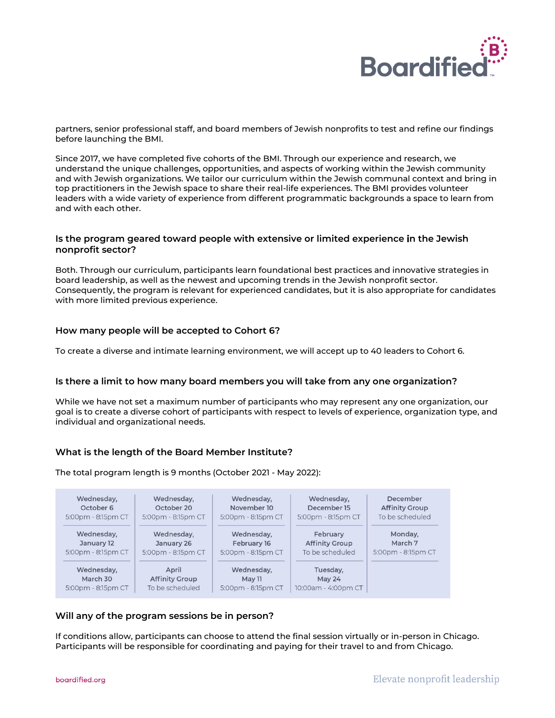

partners, senior professional staff, and board members of Jewish nonprofits to test and refine our findings before launching the BMI.

Since 2017, we have completed five cohorts of the BMI. Through our experience and research, we understand the unique challenges, opportunities, and aspects of working within the Jewish community and with Jewish organizations. We tailor our curriculum within the Jewish communal context and bring in top practitioners in the Jewish space to share their real-life experiences. The BMI provides volunteer leaders with a wide variety of experience from different programmatic backgrounds a space to learn from and with each other.

### **Is the program geared toward people with extensive or limited experience in the Jewish nonprofit sector?**

Both. Through our curriculum, participants learn foundational best practices and innovative strategies in board leadership, as well as the newest and upcoming trends in the Jewish nonprofit sector. Consequently, the program is relevant for experienced candidates, but it is also appropriate for candidates with more limited previous experience.

### **How many people will be accepted to Cohort 6?**

To create a diverse and intimate learning environment, we will accept up to 40 leaders to Cohort 6.

### **Is there a limit to how many board members you will take from any one organization?**

While we have not set a maximum number of participants who may represent any one organization, our goal is to create a diverse cohort of participants with respect to levels of experience, organization type, and individual and organizational needs.

### **What is the length of the Board Member Institute?**

The total program length is 9 months (October 2021 - May 2022):



### **Will any of the program sessions be in person?**

If conditions allow, participants can choose to attend the final session virtually or in-person in Chicago. Participants will be responsible for coordinating and paying for their travel to and from Chicago.